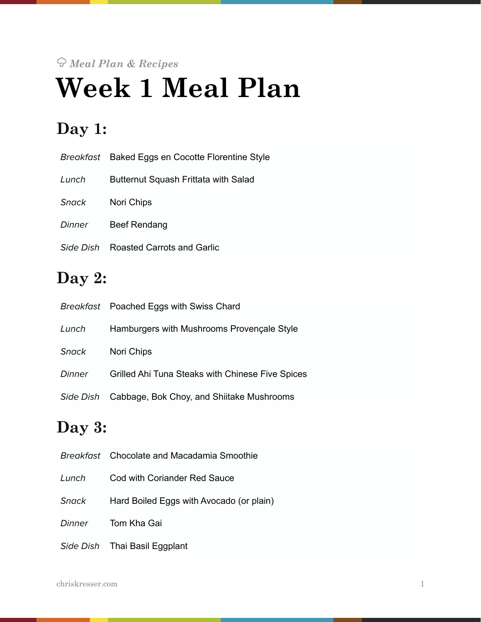## ! *Meal Plan & Recipes* **Week 1 Meal Plan**

### **Day 1:**

|           | Breakfast Baked Eggs en Cocotte Florentine Style |
|-----------|--------------------------------------------------|
| Lunch     | <b>Butternut Squash Frittata with Salad</b>      |
| Snack     | Nori Chips                                       |
| Dinner    | <b>Beef Rendang</b>                              |
| Side Dish | Roasted Carrots and Garlic                       |

### **Day 2:**

|        | Breakfast Poached Eggs with Swiss Chard             |
|--------|-----------------------------------------------------|
| Lunch  | Hamburgers with Mushrooms Provençale Style          |
| Snack  | Nori Chips                                          |
| Dinner | Grilled Ahi Tuna Steaks with Chinese Five Spices    |
|        | Side Dish Cabbage, Bok Choy, and Shiitake Mushrooms |

### **Day 3:**

|       | <i>Breakfast</i> Chocolate and Macadamia Smoothie |
|-------|---------------------------------------------------|
| Lunch | Cod with Coriander Red Sauce                      |
| Snack | Hard Boiled Eggs with Avocado (or plain)          |
|       | Dinner Tom Kha Gai                                |
|       | Side Dish Thai Basil Eggplant                     |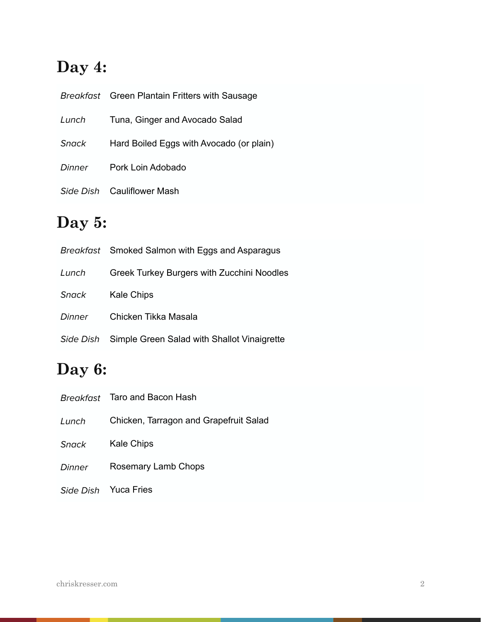### **Day 4:**

|              | Breakfast Green Plantain Fritters with Sausage |
|--------------|------------------------------------------------|
| Lunch        | Tuna, Ginger and Avocado Salad                 |
| <b>Snack</b> | Hard Boiled Eggs with Avocado (or plain)       |
| Dinner       | Pork Loin Adobado                              |
|              | Side Dish Cauliflower Mash                     |
|              |                                                |

### **Day 5:**

|        | Breakfast Smoked Salmon with Eggs and Asparagus       |
|--------|-------------------------------------------------------|
| Lunch  | Greek Turkey Burgers with Zucchini Noodles            |
| Snack  | <b>Kale Chips</b>                                     |
| Dinner | Chicken Tikka Masala                                  |
|        | Side Dish Simple Green Salad with Shallot Vinaigrette |

### **Day 6:**

|        | Breakfast Taro and Bacon Hash          |
|--------|----------------------------------------|
| Lunch  | Chicken, Tarragon and Grapefruit Salad |
| Snack  | <b>Kale Chips</b>                      |
| Dinner | Rosemary Lamb Chops                    |
|        | Side Dish Yuca Fries                   |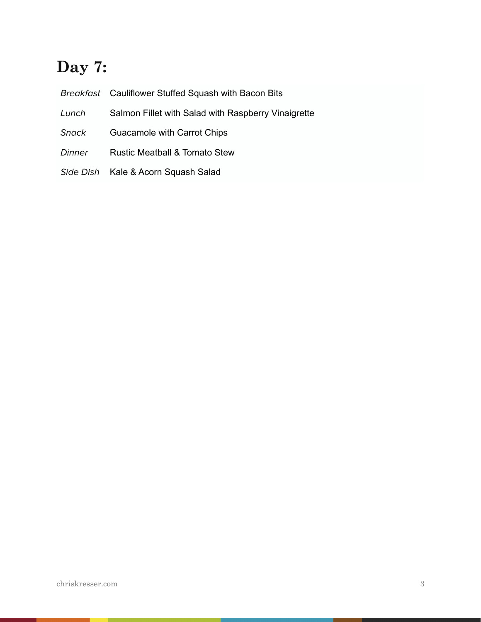### **Day 7:**

*Breakfast* Cauliflower Stuffed Squash with Bacon Bits

- *Lunch* Salmon Fillet with Salad with Raspberry Vinaigrette
- *Snack* Guacamole with Carrot Chips
- *Dinner* Rustic Meatball & Tomato Stew
- *Side Dish* Kale & Acorn Squash Salad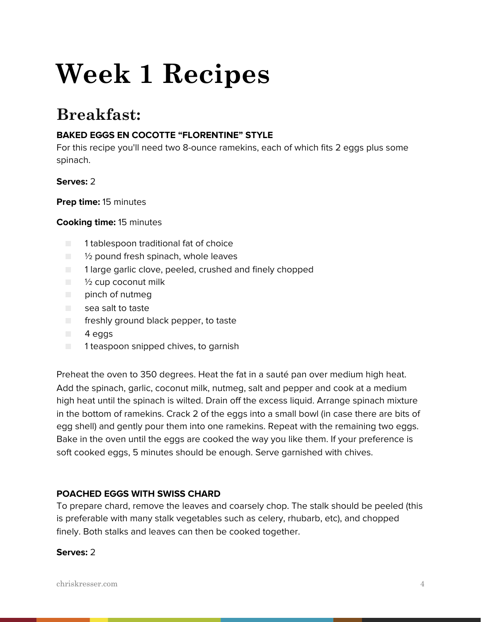# **Week 1 Recipes**

### **Breakfast:**

#### **BAKED EGGS EN COCOTTE "FLORENTINE" STYLE**

For this recipe you'll need two 8-ounce ramekins, each of which fits 2 eggs plus some spinach.

**Serves:** 2

**Prep time:** 15 minutes

#### **Cooking time:** 15 minutes

- 1 tablespoon traditional fat of choice
- $\Box$  1/<sub>2</sub> pound fresh spinach, whole leaves
- 1 large garlic clove, peeled, crushed and finely chopped
- $\blacksquare$   $\frac{1}{2}$  cup coconut milk
- pinch of nutmeg
- sea salt to taste
- freshly ground black pepper, to taste
- 4 eggs
- 1 teaspoon snipped chives, to garnish

Preheat the oven to 350 degrees. Heat the fat in a sauté pan over medium high heat. Add the spinach, garlic, coconut milk, nutmeg, salt and pepper and cook at a medium high heat until the spinach is wilted. Drain off the excess liquid. Arrange spinach mixture in the bottom of ramekins. Crack 2 of the eggs into a small bowl (in case there are bits of egg shell) and gently pour them into one ramekins. Repeat with the remaining two eggs. Bake in the oven until the eggs are cooked the way you like them. If your preference is soft cooked eggs, 5 minutes should be enough. Serve garnished with chives.

#### **POACHED EGGS WITH SWISS CHARD**

To prepare chard, remove the leaves and coarsely chop. The stalk should be peeled (this is preferable with many stalk vegetables such as celery, rhubarb, etc), and chopped finely. Both stalks and leaves can then be cooked together.

#### **Serves:** 2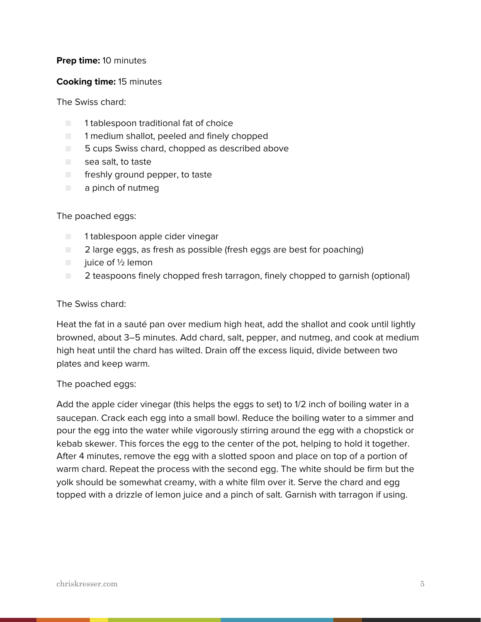#### **Prep time:** 10 minutes

#### **Cooking time:** 15 minutes

The Swiss chard:

- 1 tablespoon traditional fat of choice
- 1 medium shallot, peeled and finely chopped
- 5 cups Swiss chard, chopped as described above
- sea salt, to taste
- freshly ground pepper, to taste
- a pinch of nutmeg

The poached eggs:

- 1 tablespoon apple cider vinegar
- 2 large eggs, as fresh as possible (fresh eggs are best for poaching)
- $\Box$  juice of  $\frac{1}{2}$  lemon
- 2 teaspoons finely chopped fresh tarragon, finely chopped to garnish (optional)

#### The Swiss chard:

Heat the fat in a sauté pan over medium high heat, add the shallot and cook until lightly browned, about 3–5 minutes. Add chard, salt, pepper, and nutmeg, and cook at medium high heat until the chard has wilted. Drain off the excess liquid, divide between two plates and keep warm.

#### The poached eggs:

Add the apple cider vinegar (this helps the eggs to set) to 1/2 inch of boiling water in a saucepan. Crack each egg into a small bowl. Reduce the boiling water to a simmer and pour the egg into the water while vigorously stirring around the egg with a chopstick or kebab skewer. This forces the egg to the center of the pot, helping to hold it together. After 4 minutes, remove the egg with a slotted spoon and place on top of a portion of warm chard. Repeat the process with the second egg. The white should be firm but the yolk should be somewhat creamy, with a white film over it. Serve the chard and egg topped with a drizzle of lemon juice and a pinch of salt. Garnish with tarragon if using.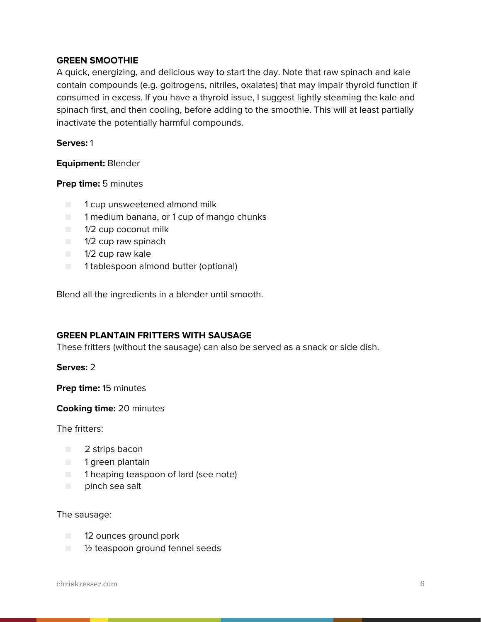#### **GREEN SMOOTHIE**

A quick, energizing, and delicious way to start the day. Note that raw spinach and kale contain compounds (e.g. goitrogens, nitriles, oxalates) that may impair thyroid function if consumed in excess. If you have a thyroid issue, I suggest lightly steaming the kale and spinach first, and then cooling, before adding to the smoothie. This will at least partially inactivate the potentially harmful compounds.

#### **Serves:** 1

#### **Equipment:** Blender

#### **Prep time:** 5 minutes

- 1 cup unsweetened almond milk
- 1 medium banana, or 1 cup of mango chunks
- 1/2 cup coconut milk
- 1/2 cup raw spinach
- 1/2 cup raw kale
- 1 tablespoon almond butter (optional)

Blend all the ingredients in a blender until smooth.

#### **GREEN PLANTAIN FRITTERS WITH SAUSAGE**

These fritters (without the sausage) can also be served as a snack or side dish.

#### **Serves:** 2

**Prep time:** 15 minutes

#### **Cooking time:** 20 minutes

The fritters:

- 2 strips bacon
- 1 green plantain
- 1 heaping teaspoon of lard (see note)
- pinch sea salt

#### The sausage:

- 12 ounces ground pork
- <sup>1</sup>/<sub>2</sub> teaspoon ground fennel seeds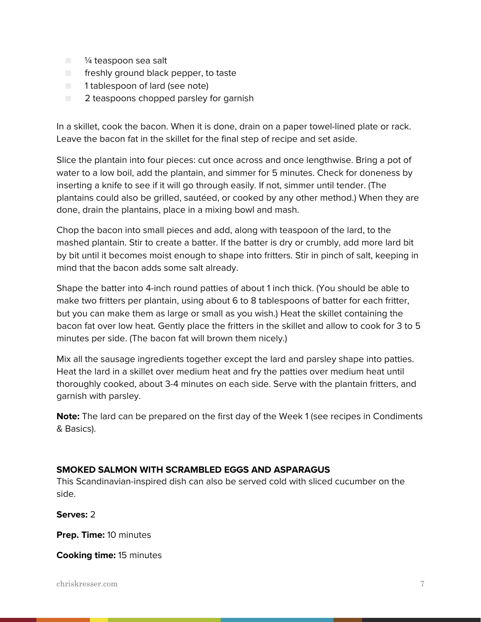- <sup>1/4</sup> teaspoon sea salt
- freshly ground black pepper, to taste
- 1 tablespoon of lard (see note)
- 2 teaspoons chopped parsley for garnish

In a skillet, cook the bacon. When it is done, drain on a paper towel-lined plate or rack. Leave the bacon fat in the skillet for the final step of recipe and set aside.

Slice the plantain into four pieces: cut once across and once lengthwise. Bring a pot of water to a low boil, add the plantain, and simmer for 5 minutes. Check for doneness by inserting a knife to see if it will go through easily. If not, simmer until tender. (The plantains could also be grilled, sautéed, or cooked by any other method.) When they are done, drain the plantains, place in a mixing bowl and mash.

Chop the bacon into small pieces and add, along with teaspoon of the lard, to the mashed plantain. Stir to create a batter. If the batter is dry or crumbly, add more lard bit by bit until it becomes moist enough to shape into fritters. Stir in pinch of salt, keeping in mind that the bacon adds some salt already.

Shape the batter into 4-inch round patties of about 1 inch thick. (You should be able to make two fritters per plantain, using about 6 to 8 tablespoons of batter for each fritter, but you can make them as large or small as you wish.) Heat the skillet containing the bacon fat over low heat. Gently place the fritters in the skillet and allow to cook for 3 to 5 minutes per side. (The bacon fat will brown them nicely.)

Mix all the sausage ingredients together except the lard and parsley shape into patties. Heat the lard in a skillet over medium heat and fry the patties over medium heat until thoroughly cooked, about 3-4 minutes on each side. Serve with the plantain fritters, and garnish with parsley.

**Note:** The lard can be prepared on the first day of the Week 1 (see recipes in Condiments & Basics).

#### **SMOKED SALMON WITH SCRAMBLED EGGS AND ASPARAGUS**

This Scandinavian-inspired dish can also be served cold with sliced cucumber on the side.

**Serves:** 2

**Prep. Time:** 10 minutes

**Cooking time:** 15 minutes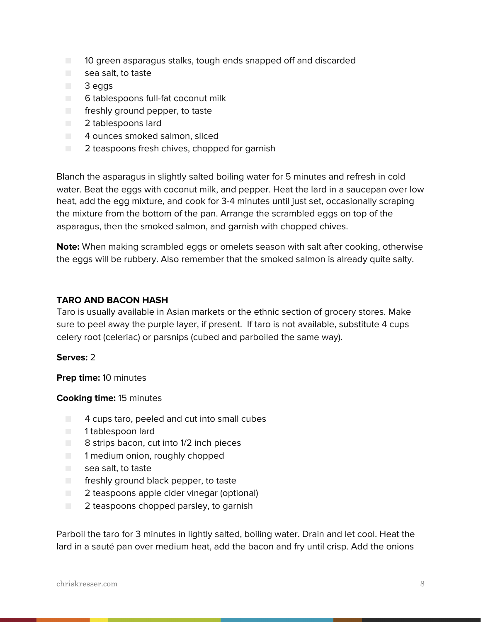- 10 green asparagus stalks, tough ends snapped off and discarded
- sea salt, to taste
- 3 eggs
- 6 tablespoons full-fat coconut milk
- freshly ground pepper, to taste
- 2 tablespoons lard
- 4 ounces smoked salmon, sliced
- 2 teaspoons fresh chives, chopped for garnish

Blanch the asparagus in slightly salted boiling water for 5 minutes and refresh in cold water. Beat the eggs with coconut milk, and pepper. Heat the lard in a saucepan over low heat, add the egg mixture, and cook for 3-4 minutes until just set, occasionally scraping the mixture from the bottom of the pan. Arrange the scrambled eggs on top of the asparagus, then the smoked salmon, and garnish with chopped chives.

**Note:** When making scrambled eggs or omelets season with salt after cooking, otherwise the eggs will be rubbery. Also remember that the smoked salmon is already quite salty.

#### **TARO AND BACON HASH**

Taro is usually available in Asian markets or the ethnic section of grocery stores. Make sure to peel away the purple layer, if present. If taro is not available, substitute 4 cups celery root (celeriac) or parsnips (cubed and parboiled the same way).

#### **Serves:** 2

**Prep time:** 10 minutes

#### **Cooking time:** 15 minutes

- 4 cups taro, peeled and cut into small cubes
- 1 tablespoon lard
- 8 strips bacon, cut into 1/2 inch pieces
- 1 medium onion, roughly chopped
- sea salt, to taste
- freshly ground black pepper, to taste
- 2 teaspoons apple cider vinegar (optional)
- **2** teaspoons chopped parsley, to garnish

Parboil the taro for 3 minutes in lightly salted, boiling water. Drain and let cool. Heat the lard in a sauté pan over medium heat, add the bacon and fry until crisp. Add the onions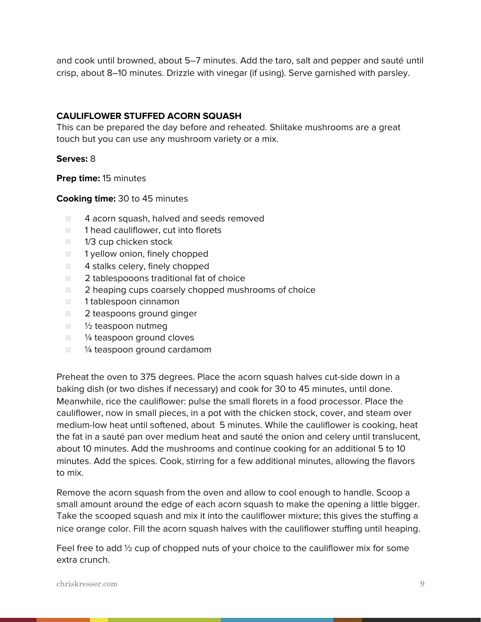and cook until browned, about 5–7 minutes. Add the taro, salt and pepper and sauté until crisp, about 8–10 minutes. Drizzle with vinegar (if using). Serve garnished with parsley.

#### **CAULIFLOWER STUFFED ACORN SQUASH**

This can be prepared the day before and reheated. Shiitake mushrooms are a great touch but you can use any mushroom variety or a mix.

#### **Serves:** 8

#### **Prep time:** 15 minutes

#### **Cooking time:** 30 to 45 minutes

- 4 acorn squash, halved and seeds removed
- 1 head cauliflower, cut into florets
- 1/3 cup chicken stock
- 1 yellow onion, finely chopped
- 4 stalks celery, finely chopped
- 2 tablespooons traditional fat of choice
- 2 heaping cups coarsely chopped mushrooms of choice
- 1 tablespoon cinnamon
- 2 teaspoons ground ginger
- $\blacksquare$   $\frac{1}{2}$  teaspoon nutmeg
- <sup>1/4</sup> teaspoon ground cloves
- <sup>1/4</sup> teaspoon ground cardamom

Preheat the oven to 375 degrees. Place the acorn squash halves cut-side down in a baking dish (or two dishes if necessary) and cook for 30 to 45 minutes, until done. Meanwhile, rice the cauliflower: pulse the small florets in a food processor. Place the cauliflower, now in small pieces, in a pot with the chicken stock, cover, and steam over medium-low heat until softened, about 5 minutes. While the cauliflower is cooking, heat the fat in a sauté pan over medium heat and sauté the onion and celery until translucent, about 10 minutes. Add the mushrooms and continue cooking for an additional 5 to 10 minutes. Add the spices. Cook, stirring for a few additional minutes, allowing the flavors to mix.

Remove the acorn squash from the oven and allow to cool enough to handle. Scoop a small amount around the edge of each acorn squash to make the opening a little bigger. Take the scooped squash and mix it into the cauliflower mixture; this gives the stuffing a nice orange color. Fill the acorn squash halves with the cauliflower stuffing until heaping.

Feel free to add ½ cup of chopped nuts of your choice to the cauliflower mix for some extra crunch.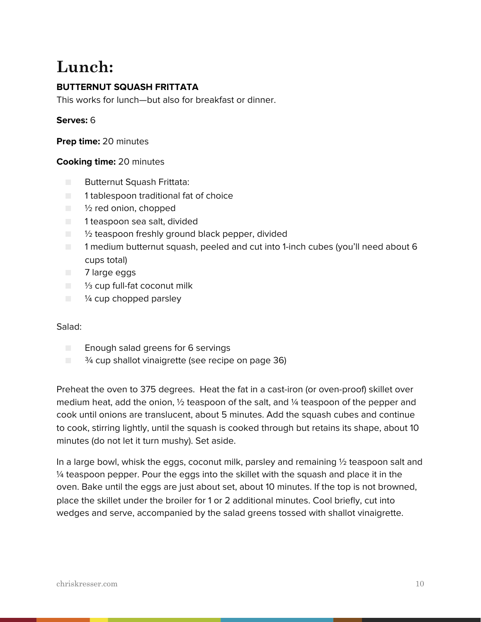### **Lunch:**

#### **BUTTERNUT SQUASH FRITTATA**

This works for lunch—but also for breakfast or dinner.

#### **Serves:** 6

**Prep time:** 20 minutes

#### **Cooking time:** 20 minutes

- Butternut Squash Frittata:
- 1 tablespoon traditional fat of choice
- <sup>1</sup>/<sub>2</sub> red onion, chopped
- 1 teaspoon sea salt, divided
- $\Box$  1/2 teaspoon freshly ground black pepper, divided
- 1 medium butternut squash, peeled and cut into 1-inch cubes (you'll need about 6 cups total)
- 7 large eggs
- 1/<sub>3</sub> cup full-fat coconut milk
- $\blacksquare$  % cup chopped parsley

#### Salad:

- Enough salad greens for 6 servings
- $\Box$   $\frac{3}{4}$  cup shallot vinaigrette (see recipe on page 36)

Preheat the oven to 375 degrees. Heat the fat in a cast-iron (or oven-proof) skillet over medium heat, add the onion,  $\frac{1}{2}$  teaspoon of the salt, and  $\frac{1}{4}$  teaspoon of the pepper and cook until onions are translucent, about 5 minutes. Add the squash cubes and continue to cook, stirring lightly, until the squash is cooked through but retains its shape, about 10 minutes (do not let it turn mushy). Set aside.

In a large bowl, whisk the eggs, coconut milk, parsley and remaining 1/2 teaspoon salt and ¼ teaspoon pepper. Pour the eggs into the skillet with the squash and place it in the oven. Bake until the eggs are just about set, about 10 minutes. If the top is not browned, place the skillet under the broiler for 1 or 2 additional minutes. Cool briefly, cut into wedges and serve, accompanied by the salad greens tossed with shallot vinaigrette.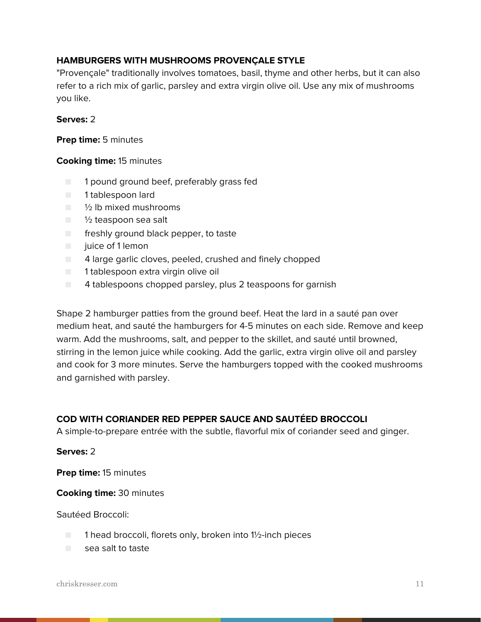#### **HAMBURGERS WITH MUSHROOMS PROVENÇALE STYLE**

"Provençale" traditionally involves tomatoes, basil, thyme and other herbs, but it can also refer to a rich mix of garlic, parsley and extra virgin olive oil. Use any mix of mushrooms you like.

#### **Serves:** 2

**Prep time:** 5 minutes

#### **Cooking time:** 15 minutes

- 1 pound ground beef, preferably grass fed
- 1 tablespoon lard
- ½ lb mixed mushrooms
- 1/2 teaspoon sea salt
- freshly ground black pepper, to taste
- juice of 1 lemon
- 4 large garlic cloves, peeled, crushed and finely chopped
- 1 tablespoon extra virgin olive oil
- 4 tablespoons chopped parsley, plus 2 teaspoons for garnish

Shape 2 hamburger patties from the ground beef. Heat the lard in a sauté pan over medium heat, and sauté the hamburgers for 4-5 minutes on each side. Remove and keep warm. Add the mushrooms, salt, and pepper to the skillet, and sauté until browned, stirring in the lemon juice while cooking. Add the garlic, extra virgin olive oil and parsley and cook for 3 more minutes. Serve the hamburgers topped with the cooked mushrooms and garnished with parsley.

#### **COD WITH CORIANDER RED PEPPER SAUCE AND SAUTÉED BROCCOLI**

A simple-to-prepare entrée with the subtle, flavorful mix of coriander seed and ginger.

#### **Serves:** 2

**Prep time:** 15 minutes

**Cooking time:** 30 minutes

#### Sautéed Broccoli:

- 1 head broccoli, florets only, broken into 1½-inch pieces
- sea salt to taste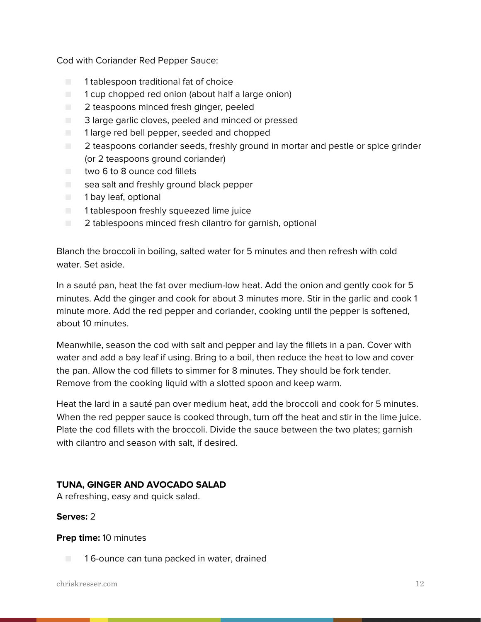Cod with Coriander Red Pepper Sauce:

- 1 tablespoon traditional fat of choice
- 1 cup chopped red onion (about half a large onion)
- 2 teaspoons minced fresh ginger, peeled
- 3 large garlic cloves, peeled and minced or pressed
- 1 large red bell pepper, seeded and chopped
- 2 teaspoons coriander seeds, freshly ground in mortar and pestle or spice grinder (or 2 teaspoons ground coriander)
- two 6 to 8 ounce cod fillets
- $\Box$  sea salt and freshly ground black pepper
- 1 bay leaf, optional
- 1 tablespoon freshly squeezed lime juice
- 2 tablespoons minced fresh cilantro for garnish, optional

Blanch the broccoli in boiling, salted water for 5 minutes and then refresh with cold water. Set aside.

In a sauté pan, heat the fat over medium-low heat. Add the onion and gently cook for 5 minutes. Add the ginger and cook for about 3 minutes more. Stir in the garlic and cook 1 minute more. Add the red pepper and coriander, cooking until the pepper is softened, about 10 minutes.

Meanwhile, season the cod with salt and pepper and lay the fillets in a pan. Cover with water and add a bay leaf if using. Bring to a boil, then reduce the heat to low and cover the pan. Allow the cod fillets to simmer for 8 minutes. They should be fork tender. Remove from the cooking liquid with a slotted spoon and keep warm.

Heat the lard in a sauté pan over medium heat, add the broccoli and cook for 5 minutes. When the red pepper sauce is cooked through, turn off the heat and stir in the lime juice. Plate the cod fillets with the broccoli. Divide the sauce between the two plates; garnish with cilantro and season with salt, if desired.

#### **TUNA, GINGER AND AVOCADO SALAD**

A refreshing, easy and quick salad.

#### **Serves:** 2

**Prep time:** 10 minutes

■ 16-ounce can tuna packed in water, drained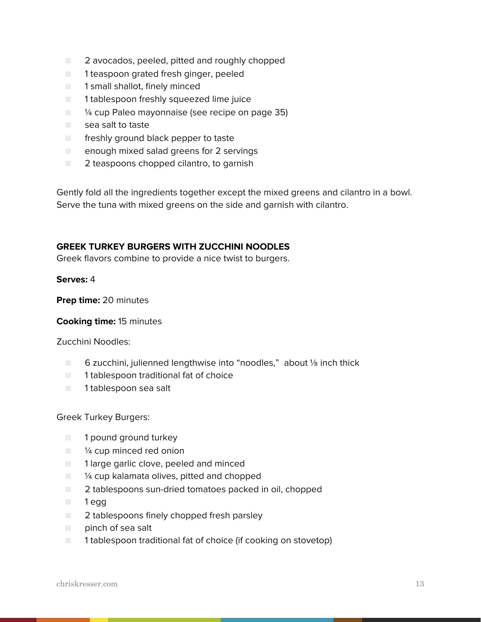- 2 avocados, peeled, pitted and roughly chopped
- 1 teaspoon grated fresh ginger, peeled
- 1 small shallot, finely minced
- 1 tablespoon freshly squeezed lime juice
- ¼ cup Paleo mayonnaise (see recipe on page 35)
- sea salt to taste
- freshly ground black pepper to taste
- $\Box$  enough mixed salad greens for 2 servings
- 2 teaspoons chopped cilantro, to garnish

Gently fold all the ingredients together except the mixed greens and cilantro in a bowl. Serve the tuna with mixed greens on the side and garnish with cilantro.

#### **GREEK TURKEY BURGERS WITH ZUCCHINI NOODLES**

Greek flavors combine to provide a nice twist to burgers.

#### **Serves:** 4

**Prep time:** 20 minutes

#### **Cooking time:** 15 minutes

Zucchini Noodles:

- 6 zucchini, julienned lengthwise into "noodles," about 1/8 inch thick
- 1 tablespoon traditional fat of choice
- 1 tablespoon sea salt

#### Greek Turkey Burgers:

- 1 pound ground turkey
- $\blacksquare$  % cup minced red onion
- 1 large garlic clove, peeled and minced
- $\blacksquare$   $\blacksquare$   $\blacksquare$   $\blacksquare$   $\blacksquare$   $\blacksquare$   $\blacksquare$   $\blacksquare$   $\blacksquare$   $\blacksquare$   $\blacksquare$   $\blacksquare$   $\blacksquare$   $\blacksquare$   $\blacksquare$   $\blacksquare$   $\blacksquare$   $\blacksquare$   $\blacksquare$   $\blacksquare$   $\blacksquare$   $\blacksquare$   $\blacksquare$   $\blacksquare$   $\blacksquare$   $\blacksquare$   $\blacksquare$   $\blacksquare$   $\blacksquare$   $\blacksquare$   $\blacksquare$   $\blacks$
- 2 tablespoons sun-dried tomatoes packed in oil, chopped
- 1 egg
- 2 tablespoons finely chopped fresh parsley
- pinch of sea salt
- 1 tablespoon traditional fat of choice (if cooking on stovetop)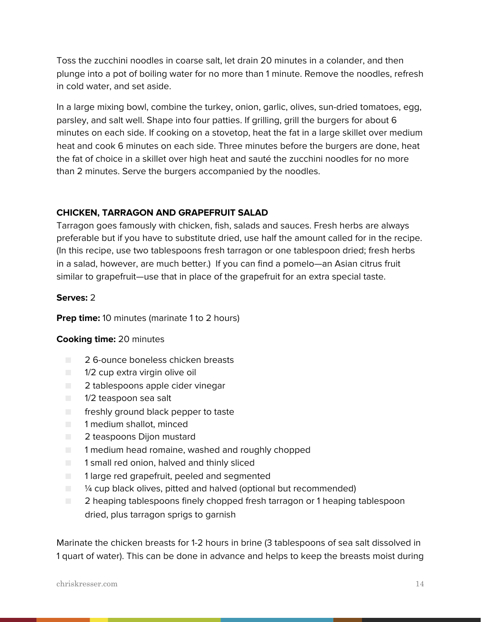Toss the zucchini noodles in coarse salt, let drain 20 minutes in a colander, and then plunge into a pot of boiling water for no more than 1 minute. Remove the noodles, refresh in cold water, and set aside.

In a large mixing bowl, combine the turkey, onion, garlic, olives, sun-dried tomatoes, egg, parsley, and salt well. Shape into four patties. If grilling, grill the burgers for about 6 minutes on each side. If cooking on a stovetop, heat the fat in a large skillet over medium heat and cook 6 minutes on each side. Three minutes before the burgers are done, heat the fat of choice in a skillet over high heat and sauté the zucchini noodles for no more than 2 minutes. Serve the burgers accompanied by the noodles.

#### **CHICKEN, TARRAGON AND GRAPEFRUIT SALAD**

Tarragon goes famously with chicken, fish, salads and sauces. Fresh herbs are always preferable but if you have to substitute dried, use half the amount called for in the recipe. (In this recipe, use two tablespoons fresh tarragon or one tablespoon dried; fresh herbs in a salad, however, are much better.) If you can find a pomelo—an Asian citrus fruit similar to grapefruit—use that in place of the grapefruit for an extra special taste.

#### **Serves:** 2

**Prep time:** 10 minutes (marinate 1 to 2 hours)

#### **Cooking time:** 20 minutes

- 2 6-ounce boneless chicken breasts
- 1/2 cup extra virgin olive oil
- 2 tablespoons apple cider vinegar
- 1/2 teaspoon sea salt
- freshly ground black pepper to taste
- 1 medium shallot, minced
- 2 teaspoons Dijon mustard
- 1 medium head romaine, washed and roughly chopped
- 1 small red onion, halved and thinly sliced
- 1 large red grapefruit, peeled and segmented
- $\blacksquare$  /4 cup black olives, pitted and halved (optional but recommended)
- 2 heaping tablespoons finely chopped fresh tarragon or 1 heaping tablespoon dried, plus tarragon sprigs to garnish

Marinate the chicken breasts for 1-2 hours in brine (3 tablespoons of sea salt dissolved in 1 quart of water). This can be done in advance and helps to keep the breasts moist during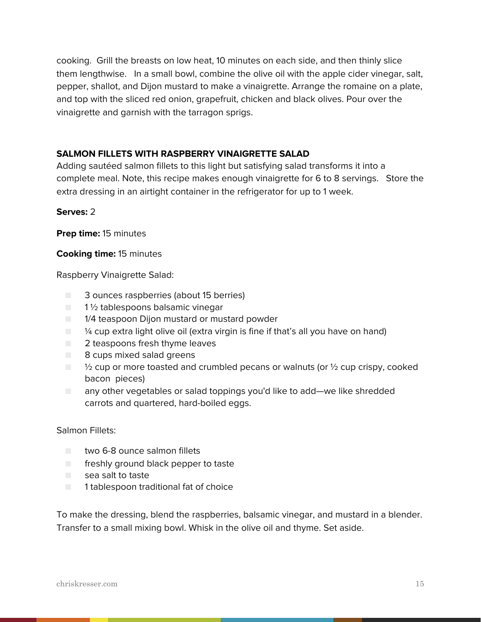cooking. Grill the breasts on low heat, 10 minutes on each side, and then thinly slice them lengthwise. In a small bowl, combine the olive oil with the apple cider vinegar, salt, pepper, shallot, and Dijon mustard to make a vinaigrette. Arrange the romaine on a plate, and top with the sliced red onion, grapefruit, chicken and black olives. Pour over the vinaigrette and garnish with the tarragon sprigs.

#### **SALMON FILLETS WITH RASPBERRY VINAIGRETTE SALAD**

Adding sautéed salmon fillets to this light but satisfying salad transforms it into a complete meal. Note, this recipe makes enough vinaigrette for 6 to 8 servings. Store the extra dressing in an airtight container in the refrigerator for up to 1 week.

#### **Serves:** 2

**Prep time:** 15 minutes

#### **Cooking time:** 15 minutes

Raspberry Vinaigrette Salad:

- 3 ounces raspberries (about 15 berries)
- $\Box$  1  $\frac{1}{2}$  tablespoons balsamic vinegar
- 1/4 teaspoon Dijon mustard or mustard powder
- $\blacksquare$  /4 cup extra light olive oil (extra virgin is fine if that's all you have on hand)
- 2 teaspoons fresh thyme leaves
- 8 cups mixed salad greens
- $\blacksquare$   $\mathcal V_2$  cup or more toasted and crumbled pecans or walnuts (or  $\mathcal V_2$  cup crispy, cooked bacon pieces)
- any other vegetables or salad toppings you'd like to add—we like shredded carrots and quartered, hard-boiled eggs.

#### Salmon Fillets:

- two 6-8 ounce salmon fillets
- freshly ground black pepper to taste
- sea salt to taste
- 1 tablespoon traditional fat of choice

To make the dressing, blend the raspberries, balsamic vinegar, and mustard in a blender. Transfer to a small mixing bowl. Whisk in the olive oil and thyme. Set aside.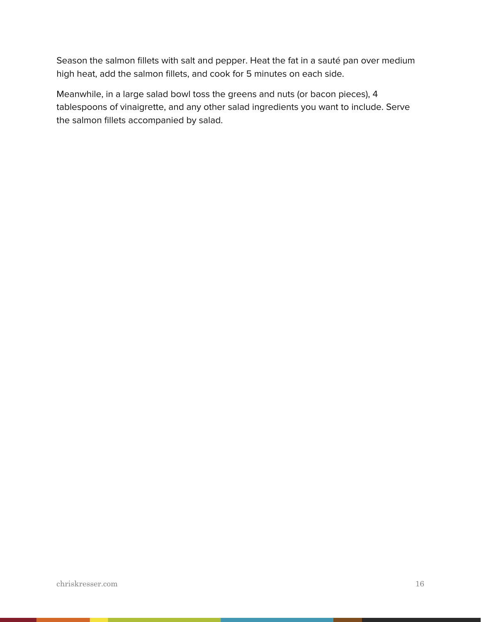Season the salmon fillets with salt and pepper. Heat the fat in a sauté pan over medium high heat, add the salmon fillets, and cook for 5 minutes on each side.

Meanwhile, in a large salad bowl toss the greens and nuts (or bacon pieces), 4 tablespoons of vinaigrette, and any other salad ingredients you want to include. Serve the salmon fillets accompanied by salad.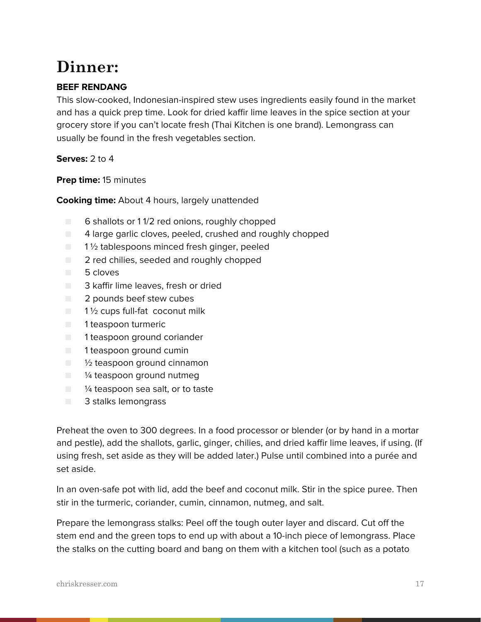### **Dinner:**

#### **BEEF RENDANG**

This slow-cooked, Indonesian-inspired stew uses ingredients easily found in the market and has a quick prep time. Look for dried kaffir lime leaves in the spice section at your grocery store if you can't locate fresh (Thai Kitchen is one brand). Lemongrass can usually be found in the fresh vegetables section.

**Serves:** 2 to 4

**Prep time:** 15 minutes

**Cooking time:** About 4 hours, largely unattended

- 6 shallots or 1 1/2 red onions, roughly chopped
- 4 large garlic cloves, peeled, crushed and roughly chopped
- $\Box$  1  $\frac{1}{2}$  tablespoons minced fresh ginger, peeled
- 2 red chilies, seeded and roughly chopped
- 5 cloves
- 3 kaffir lime leaves, fresh or dried
- 2 pounds beef stew cubes
- $\blacksquare$  1 1/2 cups full-fat coconut milk
- 1 teaspoon turmeric
- 1 teaspoon ground coriander
- 1 teaspoon ground cumin
- $\blacksquare$   $\mathcal V_2$  teaspoon ground cinnamon
- <sup>1/4</sup> teaspoon ground nutmeg
- <sup>1/4</sup> teaspoon sea salt, or to taste
- 3 stalks lemongrass

Preheat the oven to 300 degrees. In a food processor or blender (or by hand in a mortar and pestle), add the shallots, garlic, ginger, chilies, and dried kaffir lime leaves, if using. (If using fresh, set aside as they will be added later.) Pulse until combined into a purée and set aside.

In an oven-safe pot with lid, add the beef and coconut milk. Stir in the spice puree. Then stir in the turmeric, coriander, cumin, cinnamon, nutmeg, and salt.

Prepare the lemongrass stalks: Peel off the tough outer layer and discard. Cut off the stem end and the green tops to end up with about a 10-inch piece of lemongrass. Place the stalks on the cutting board and bang on them with a kitchen tool (such as a potato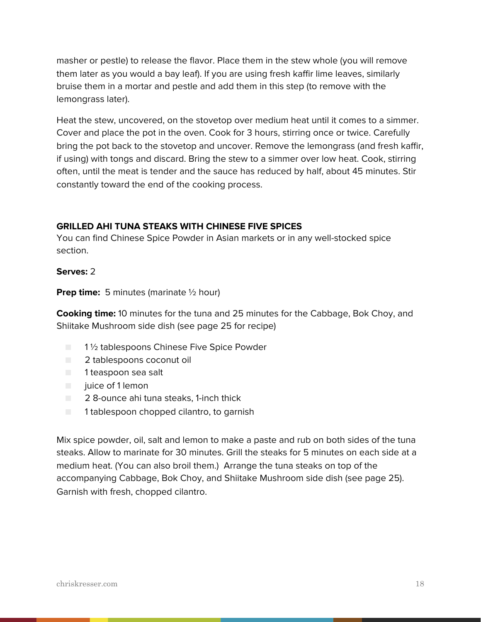masher or pestle) to release the flavor. Place them in the stew whole (you will remove them later as you would a bay leaf). If you are using fresh kaffir lime leaves, similarly bruise them in a mortar and pestle and add them in this step (to remove with the lemongrass later).

Heat the stew, uncovered, on the stovetop over medium heat until it comes to a simmer. Cover and place the pot in the oven. Cook for 3 hours, stirring once or twice. Carefully bring the pot back to the stovetop and uncover. Remove the lemongrass (and fresh kaffir, if using) with tongs and discard. Bring the stew to a simmer over low heat. Cook, stirring often, until the meat is tender and the sauce has reduced by half, about 45 minutes. Stir constantly toward the end of the cooking process.

#### **GRILLED AHI TUNA STEAKS WITH CHINESE FIVE SPICES**

You can find Chinese Spice Powder in Asian markets or in any well-stocked spice section.

#### **Serves:** 2

**Prep time:** 5 minutes (marinate 1/2 hour)

**Cooking time:** 10 minutes for the tuna and 25 minutes for the Cabbage, Bok Choy, and Shiitake Mushroom side dish (see page 25 for recipe)

- 1½ tablespoons Chinese Five Spice Powder
- 2 tablespoons coconut oil
- 1 teaspoon sea salt
- juice of 1 lemon
- 2 8-ounce ahi tuna steaks, 1-inch thick
- 1 tablespoon chopped cilantro, to garnish

Mix spice powder, oil, salt and lemon to make a paste and rub on both sides of the tuna steaks. Allow to marinate for 30 minutes. Grill the steaks for 5 minutes on each side at a medium heat. (You can also broil them.) Arrange the tuna steaks on top of the accompanying Cabbage, Bok Choy, and Shiitake Mushroom side dish (see page 25). Garnish with fresh, chopped cilantro.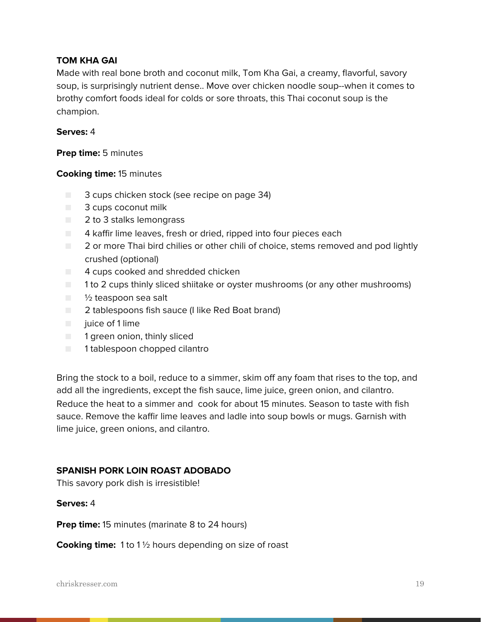#### **TOM KHA GAI**

Made with real bone broth and coconut milk, Tom Kha Gai, a creamy, flavorful, savory soup, is surprisingly nutrient dense.. Move over chicken noodle soup--when it comes to brothy comfort foods ideal for colds or sore throats, this Thai coconut soup is the champion.

#### **Serves:** 4

#### **Prep time:** 5 minutes

#### **Cooking time:** 15 minutes

- 3 cups chicken stock (see recipe on page 34)
- 3 cups coconut milk
- 2 to 3 stalks lemongrass
- 4 kaffir lime leaves, fresh or dried, ripped into four pieces each
- 2 or more Thai bird chilies or other chili of choice, stems removed and pod lightly crushed (optional)
- 4 cups cooked and shredded chicken
- 1 to 2 cups thinly sliced shiitake or oyster mushrooms (or any other mushrooms)
- ½ teaspoon sea salt
- 2 tablespoons fish sauce (I like Red Boat brand)
- juice of 1 lime
- 1 green onion, thinly sliced
- 1 tablespoon chopped cilantro

Bring the stock to a boil, reduce to a simmer, skim off any foam that rises to the top, and add all the ingredients, except the fish sauce, lime juice, green onion, and cilantro. Reduce the heat to a simmer and cook for about 15 minutes. Season to taste with fish sauce. Remove the kaffir lime leaves and ladle into soup bowls or mugs. Garnish with lime juice, green onions, and cilantro.

#### **SPANISH PORK LOIN ROAST ADOBADO**

This savory pork dish is irresistible!

#### **Serves:** 4

**Prep time:** 15 minutes (marinate 8 to 24 hours)

**Cooking time:** 1 to 1 ½ hours depending on size of roast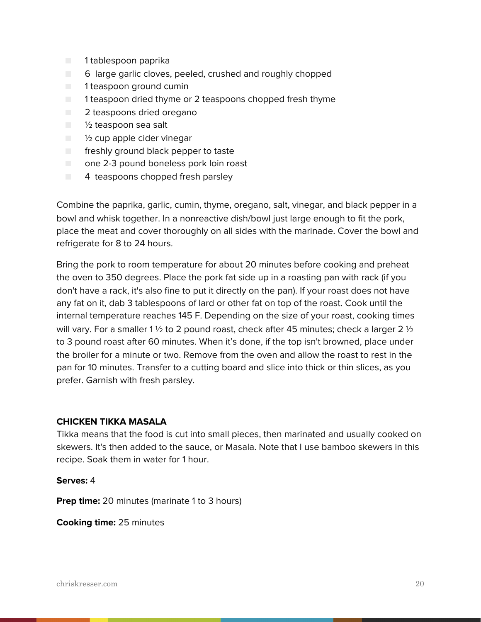- 1 tablespoon paprika
- 6 large garlic cloves, peeled, crushed and roughly chopped
- 1 teaspoon ground cumin
- 1 teaspoon dried thyme or 2 teaspoons chopped fresh thyme
- 2 teaspoons dried oregano
- 1/2 teaspoon sea salt
- ½ cup apple cider vinegar
- freshly ground black pepper to taste
- one 2-3 pound boneless pork loin roast
- 4 teaspoons chopped fresh parsley

Combine the paprika, garlic, cumin, thyme, oregano, salt, vinegar, and black pepper in a bowl and whisk together. In a nonreactive dish/bowl just large enough to fit the pork, place the meat and cover thoroughly on all sides with the marinade. Cover the bowl and refrigerate for 8 to 24 hours.

Bring the pork to room temperature for about 20 minutes before cooking and preheat the oven to 350 degrees. Place the pork fat side up in a roasting pan with rack (if you don't have a rack, it's also fine to put it directly on the pan). If your roast does not have any fat on it, dab 3 tablespoons of lard or other fat on top of the roast. Cook until the internal temperature reaches 145 F. Depending on the size of your roast, cooking times will vary. For a smaller 1  $\frac{1}{2}$  to 2 pound roast, check after 45 minutes; check a larger 2  $\frac{1}{2}$ to 3 pound roast after 60 minutes. When it's done, if the top isn't browned, place under the broiler for a minute or two. Remove from the oven and allow the roast to rest in the pan for 10 minutes. Transfer to a cutting board and slice into thick or thin slices, as you prefer. Garnish with fresh parsley.

#### **CHICKEN TIKKA MASALA**

Tikka means that the food is cut into small pieces, then marinated and usually cooked on skewers. It's then added to the sauce, or Masala. Note that I use bamboo skewers in this recipe. Soak them in water for 1 hour.

#### **Serves:** 4

**Prep time:** 20 minutes (marinate 1 to 3 hours)

**Cooking time:** 25 minutes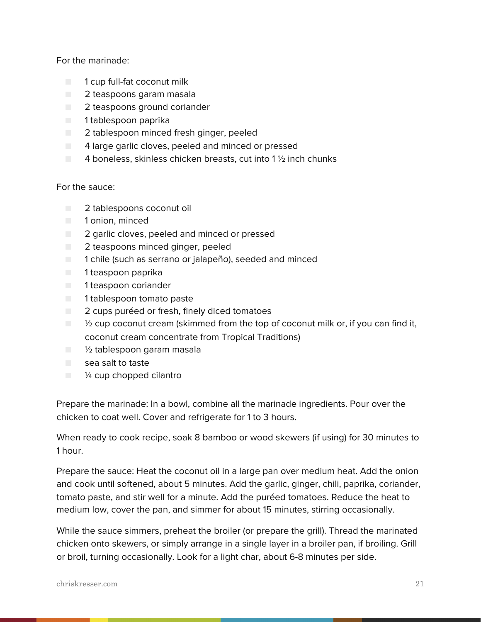For the marinade:

- 1 cup full-fat coconut milk
- 2 teaspoons garam masala
- 2 teaspoons ground coriander
- 1 tablespoon paprika
- 2 tablespoon minced fresh ginger, peeled
- 4 large garlic cloves, peeled and minced or pressed
- $\Box$  4 boneless, skinless chicken breasts, cut into 1  $\frac{1}{2}$  inch chunks

#### For the sauce:

- 2 tablespoons coconut oil
- 1 onion, minced
- 2 garlic cloves, peeled and minced or pressed
- **2** teaspoons minced ginger, peeled
- 1 chile (such as serrano or jalapeño), seeded and minced
- 1 teaspoon paprika
- 1 teaspoon coriander
- 1 tablespoon tomato paste
- 2 cups puréed or fresh, finely diced tomatoes
- $\Box$  1/2 cup coconut cream (skimmed from the top of coconut milk or, if you can find it, coconut cream concentrate from Tropical Traditions)
- 1/2 tablespoon garam masala
- sea salt to taste
- <sup>1/4</sup> cup chopped cilantro

Prepare the marinade: In a bowl, combine all the marinade ingredients. Pour over the chicken to coat well. Cover and refrigerate for 1 to 3 hours.

When ready to cook recipe, soak 8 bamboo or wood skewers (if using) for 30 minutes to 1 hour.

Prepare the sauce: Heat the coconut oil in a large pan over medium heat. Add the onion and cook until softened, about 5 minutes. Add the garlic, ginger, chili, paprika, coriander, tomato paste, and stir well for a minute. Add the puréed tomatoes. Reduce the heat to medium low, cover the pan, and simmer for about 15 minutes, stirring occasionally.

While the sauce simmers, preheat the broiler (or prepare the grill). Thread the marinated chicken onto skewers, or simply arrange in a single layer in a broiler pan, if broiling. Grill or broil, turning occasionally. Look for a light char, about 6-8 minutes per side.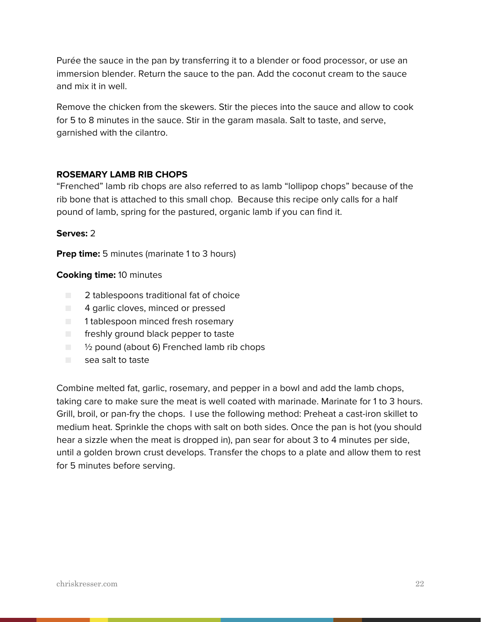Purée the sauce in the pan by transferring it to a blender or food processor, or use an immersion blender. Return the sauce to the pan. Add the coconut cream to the sauce and mix it in well.

Remove the chicken from the skewers. Stir the pieces into the sauce and allow to cook for 5 to 8 minutes in the sauce. Stir in the garam masala. Salt to taste, and serve, garnished with the cilantro.

#### **ROSEMARY LAMB RIB CHOPS**

"Frenched" lamb rib chops are also referred to as lamb "lollipop chops" because of the rib bone that is attached to this small chop. Because this recipe only calls for a half pound of lamb, spring for the pastured, organic lamb if you can find it.

#### **Serves:** 2

**Prep time:** 5 minutes (marinate 1 to 3 hours)

#### **Cooking time:** 10 minutes

- 2 tablespoons traditional fat of choice
- $\Box$  4 garlic cloves, minced or pressed
- 1 tablespoon minced fresh rosemary
- freshly ground black pepper to taste
- $\Box$  1/<sub>2</sub> pound (about 6) Frenched lamb rib chops
- sea salt to taste

Combine melted fat, garlic, rosemary, and pepper in a bowl and add the lamb chops, taking care to make sure the meat is well coated with marinade. Marinate for 1 to 3 hours. Grill, broil, or pan-fry the chops. I use the following method: Preheat a cast-iron skillet to medium heat. Sprinkle the chops with salt on both sides. Once the pan is hot (you should hear a sizzle when the meat is dropped in), pan sear for about 3 to 4 minutes per side, until a golden brown crust develops. Transfer the chops to a plate and allow them to rest for 5 minutes before serving.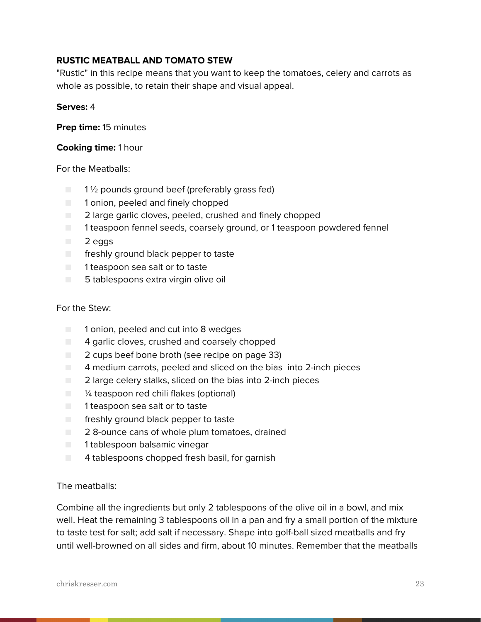#### **RUSTIC MEATBALL AND TOMATO STEW**

"Rustic" in this recipe means that you want to keep the tomatoes, celery and carrots as whole as possible, to retain their shape and visual appeal.

#### **Serves:** 4

**Prep time:** 15 minutes

#### **Cooking time:** 1 hour

For the Meatballs:

- $\Box$  1  $\frac{1}{2}$  pounds ground beef (preferably grass fed)
- 1 onion, peeled and finely chopped
- 2 large garlic cloves, peeled, crushed and finely chopped
- 1 teaspoon fennel seeds, coarsely ground, or 1 teaspoon powdered fennel
- 2 eggs
- freshly ground black pepper to taste
- 1 teaspoon sea salt or to taste
- 5 tablespoons extra virgin olive oil

#### For the Stew:

- 1 onion, peeled and cut into 8 wedges
- 4 garlic cloves, crushed and coarsely chopped
- 2 cups beef bone broth (see recipe on page 33)
- 4 medium carrots, peeled and sliced on the bias into 2-inch pieces
- 2 large celery stalks, sliced on the bias into 2-inch pieces
- $\blacksquare$   $\blacksquare$  /4 teaspoon red chili flakes (optional)
- 1 teaspoon sea salt or to taste
- freshly ground black pepper to taste
- 2 8-ounce cans of whole plum tomatoes, drained
- 1 tablespoon balsamic vinegar
- 4 tablespoons chopped fresh basil, for garnish

#### The meatballs:

Combine all the ingredients but only 2 tablespoons of the olive oil in a bowl, and mix well. Heat the remaining 3 tablespoons oil in a pan and fry a small portion of the mixture to taste test for salt; add salt if necessary. Shape into golf-ball sized meatballs and fry until well-browned on all sides and firm, about 10 minutes. Remember that the meatballs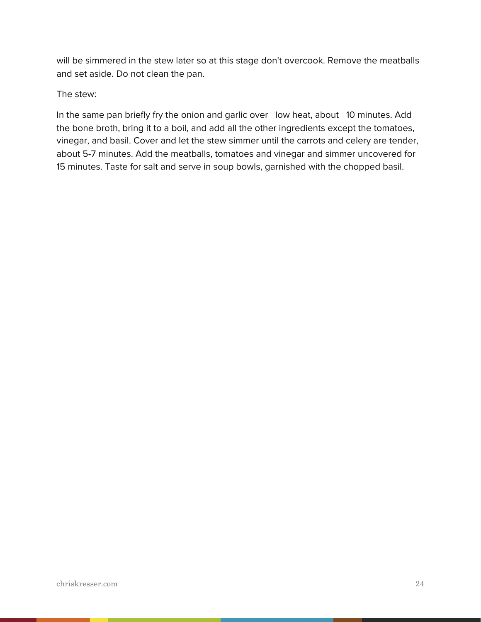will be simmered in the stew later so at this stage don't overcook. Remove the meatballs and set aside. Do not clean the pan.

The stew:

In the same pan briefly fry the onion and garlic over low heat, about 10 minutes. Add the bone broth, bring it to a boil, and add all the other ingredients except the tomatoes, vinegar, and basil. Cover and let the stew simmer until the carrots and celery are tender, about 5-7 minutes. Add the meatballs, tomatoes and vinegar and simmer uncovered for 15 minutes. Taste for salt and serve in soup bowls, garnished with the chopped basil.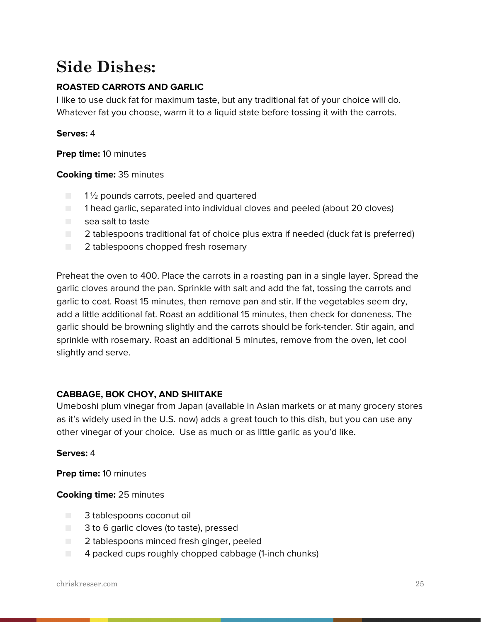### **Side Dishes:**

#### **ROASTED CARROTS AND GARLIC**

I like to use duck fat for maximum taste, but any traditional fat of your choice will do. Whatever fat you choose, warm it to a liquid state before tossing it with the carrots.

#### **Serves:** 4

**Prep time:** 10 minutes

#### **Cooking time:** 35 minutes

- $\blacksquare$  1  $\frac{1}{2}$  pounds carrots, peeled and quartered
- 1 head garlic, separated into individual cloves and peeled (about 20 cloves)
- sea salt to taste
- 2 tablespoons traditional fat of choice plus extra if needed (duck fat is preferred)
- 2 tablespoons chopped fresh rosemary

Preheat the oven to 400. Place the carrots in a roasting pan in a single layer. Spread the garlic cloves around the pan. Sprinkle with salt and add the fat, tossing the carrots and garlic to coat. Roast 15 minutes, then remove pan and stir. If the vegetables seem dry, add a little additional fat. Roast an additional 15 minutes, then check for doneness. The garlic should be browning slightly and the carrots should be fork-tender. Stir again, and sprinkle with rosemary. Roast an additional 5 minutes, remove from the oven, let cool slightly and serve.

#### **CABBAGE, BOK CHOY, AND SHIITAKE**

Umeboshi plum vinegar from Japan (available in Asian markets or at many grocery stores as it's widely used in the U.S. now) adds a great touch to this dish, but you can use any other vinegar of your choice. Use as much or as little garlic as you'd like.

#### **Serves:** 4

**Prep time:** 10 minutes

#### **Cooking time:** 25 minutes

- 3 tablespoons coconut oil
- 3 to 6 garlic cloves (to taste), pressed
- 2 tablespoons minced fresh ginger, peeled
- 4 packed cups roughly chopped cabbage (1-inch chunks)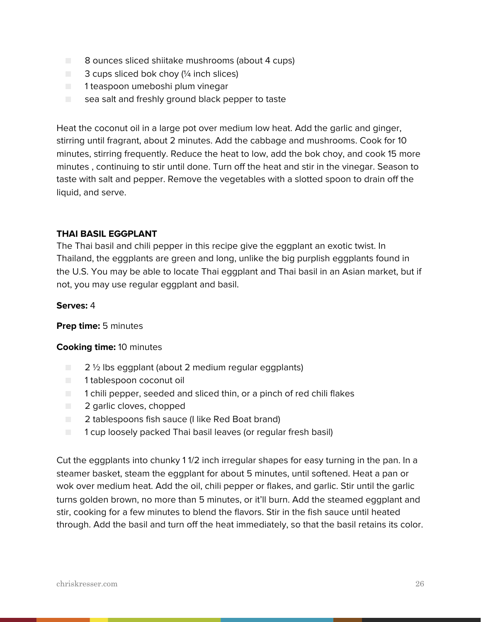- 8 ounces sliced shiitake mushrooms (about 4 cups)
- $\Box$  3 cups sliced bok choy ( $\frac{1}{4}$  inch slices)
- 1 teaspoon umeboshi plum vinegar
- sea salt and freshly ground black pepper to taste

Heat the coconut oil in a large pot over medium low heat. Add the garlic and ginger, stirring until fragrant, about 2 minutes. Add the cabbage and mushrooms. Cook for 10 minutes, stirring frequently. Reduce the heat to low, add the bok choy, and cook 15 more minutes , continuing to stir until done. Turn off the heat and stir in the vinegar. Season to taste with salt and pepper. Remove the vegetables with a slotted spoon to drain off the liquid, and serve.

#### **THAI BASIL EGGPLANT**

The Thai basil and chili pepper in this recipe give the eggplant an exotic twist. In Thailand, the eggplants are green and long, unlike the big purplish eggplants found in the U.S. You may be able to locate Thai eggplant and Thai basil in an Asian market, but if not, you may use regular eggplant and basil.

#### **Serves:** 4

#### **Prep time:** 5 minutes

#### **Cooking time:** 10 minutes

- 2 ½ lbs eggplant (about 2 medium regular eggplants)
- 1 tablespoon coconut oil
- 1 chili pepper, seeded and sliced thin, or a pinch of red chili flakes
- 2 garlic cloves, chopped
- 2 tablespoons fish sauce (I like Red Boat brand)
- 1 cup loosely packed Thai basil leaves (or regular fresh basil)

Cut the eggplants into chunky 1 1/2 inch irregular shapes for easy turning in the pan. In a steamer basket, steam the eggplant for about 5 minutes, until softened. Heat a pan or wok over medium heat. Add the oil, chili pepper or flakes, and garlic. Stir until the garlic turns golden brown, no more than 5 minutes, or it'll burn. Add the steamed eggplant and stir, cooking for a few minutes to blend the flavors. Stir in the fish sauce until heated through. Add the basil and turn off the heat immediately, so that the basil retains its color.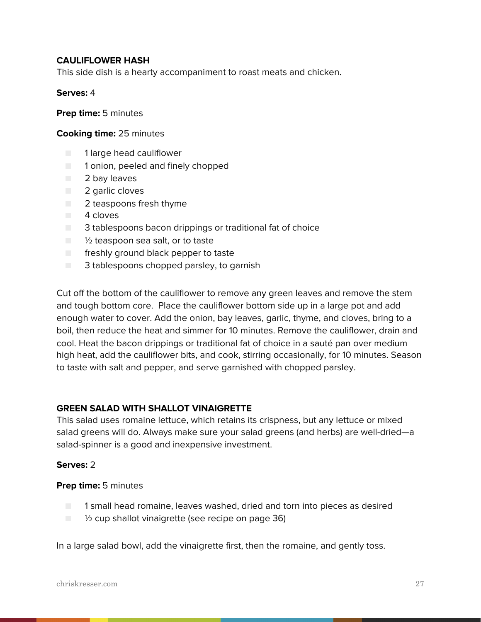#### **CAULIFLOWER HASH**

This side dish is a hearty accompaniment to roast meats and chicken.

#### **Serves:** 4

**Prep time:** 5 minutes

#### **Cooking time:** 25 minutes

- 1 large head cauliflower
- 1 onion, peeled and finely chopped
- 2 bay leaves
- 2 garlic cloves
- 2 teaspoons fresh thyme
- 4 cloves
- 3 tablespoons bacon drippings or traditional fat of choice
- $\Box$   $\frac{1}{2}$  teaspoon sea salt, or to taste
- freshly ground black pepper to taste
- 3 tablespoons chopped parsley, to garnish

Cut off the bottom of the cauliflower to remove any green leaves and remove the stem and tough bottom core. Place the cauliflower bottom side up in a large pot and add enough water to cover. Add the onion, bay leaves, garlic, thyme, and cloves, bring to a boil, then reduce the heat and simmer for 10 minutes. Remove the cauliflower, drain and cool. Heat the bacon drippings or traditional fat of choice in a sauté pan over medium high heat, add the cauliflower bits, and cook, stirring occasionally, for 10 minutes. Season to taste with salt and pepper, and serve garnished with chopped parsley.

#### **GREEN SALAD WITH SHALLOT VINAIGRETTE**

This salad uses romaine lettuce, which retains its crispness, but any lettuce or mixed salad greens will do. Always make sure your salad greens (and herbs) are well-dried—a salad-spinner is a good and inexpensive investment.

#### **Serves:** 2

#### **Prep time:** 5 minutes

- 1 small head romaine, leaves washed, dried and torn into pieces as desired
- $\Box$   $\%$  cup shallot vinaigrette (see recipe on page 36)

In a large salad bowl, add the vinaigrette first, then the romaine, and gently toss.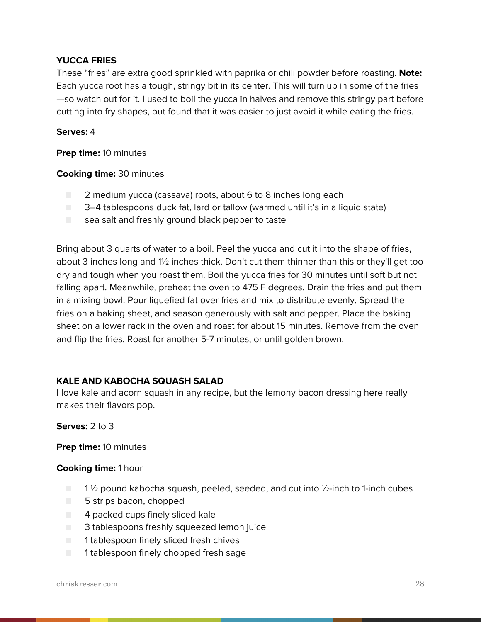#### **YUCCA FRIES**

These "fries" are extra good sprinkled with paprika or chili powder before roasting. **Note:** Each yucca root has a tough, stringy bit in its center. This will turn up in some of the fries —so watch out for it. I used to boil the yucca in halves and remove this stringy part before cutting into fry shapes, but found that it was easier to just avoid it while eating the fries.

#### **Serves:** 4

#### **Prep time:** 10 minutes

#### **Cooking time:** 30 minutes

- 2 medium yucca (cassava) roots, about 6 to 8 inches long each
- 3–4 tablespoons duck fat, lard or tallow (warmed until it's in a liquid state)
- sea salt and freshly ground black pepper to taste

Bring about 3 quarts of water to a boil. Peel the yucca and cut it into the shape of fries, about 3 inches long and 1½ inches thick. Don't cut them thinner than this or they'll get too dry and tough when you roast them. Boil the yucca fries for 30 minutes until soft but not falling apart. Meanwhile, preheat the oven to 475 F degrees. Drain the fries and put them in a mixing bowl. Pour liquefied fat over fries and mix to distribute evenly. Spread the fries on a baking sheet, and season generously with salt and pepper. Place the baking sheet on a lower rack in the oven and roast for about 15 minutes. Remove from the oven and flip the fries. Roast for another 5-7 minutes, or until golden brown.

#### **KALE AND KABOCHA SQUASH SALAD**

I love kale and acorn squash in any recipe, but the lemony bacon dressing here really makes their flavors pop.

#### **Serves:** 2 to 3

**Prep time:** 10 minutes

#### **Cooking time:** 1 hour

- $\Box$  1  $\frac{1}{2}$  pound kabocha squash, peeled, seeded, and cut into  $\frac{1}{2}$ -inch to 1-inch cubes
- 5 strips bacon, chopped
- $\Box$  4 packed cups finely sliced kale
- 3 tablespoons freshly squeezed lemon juice
- 1 tablespoon finely sliced fresh chives
- 1 tablespoon finely chopped fresh sage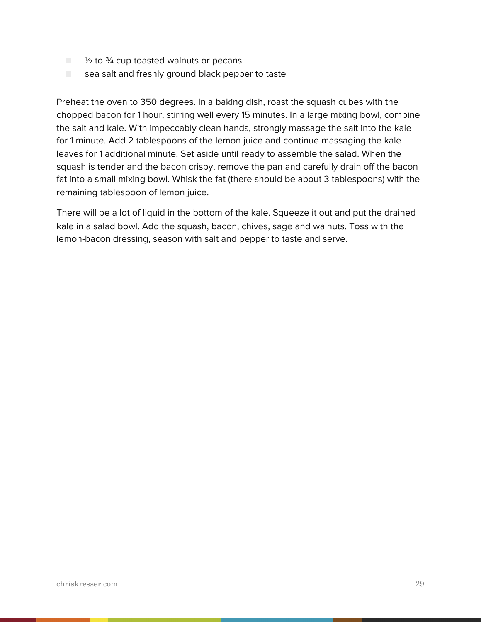- $\Box$  % to  $\frac{3}{4}$  cup toasted walnuts or pecans
- $\Box$  sea salt and freshly ground black pepper to taste

Preheat the oven to 350 degrees. In a baking dish, roast the squash cubes with the chopped bacon for 1 hour, stirring well every 15 minutes. In a large mixing bowl, combine the salt and kale. With impeccably clean hands, strongly massage the salt into the kale for 1 minute. Add 2 tablespoons of the lemon juice and continue massaging the kale leaves for 1 additional minute. Set aside until ready to assemble the salad. When the squash is tender and the bacon crispy, remove the pan and carefully drain off the bacon fat into a small mixing bowl. Whisk the fat (there should be about 3 tablespoons) with the remaining tablespoon of lemon juice.

There will be a lot of liquid in the bottom of the kale. Squeeze it out and put the drained kale in a salad bowl. Add the squash, bacon, chives, sage and walnuts. Toss with the lemon-bacon dressing, season with salt and pepper to taste and serve.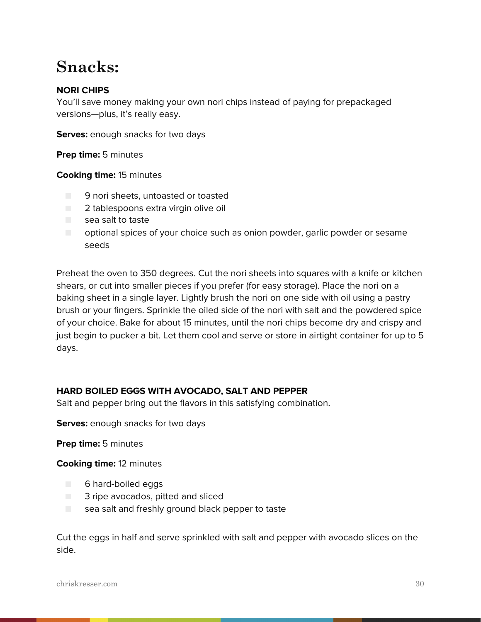### **Snacks:**

#### **NORI CHIPS**

You'll save money making your own nori chips instead of paying for prepackaged versions—plus, it's really easy.

**Serves:** enough snacks for two days

**Prep time:** 5 minutes

**Cooking time:** 15 minutes

- 9 nori sheets, untoasted or toasted
- 2 tablespoons extra virgin olive oil
- sea salt to taste
- optional spices of your choice such as onion powder, garlic powder or sesame seeds

Preheat the oven to 350 degrees. Cut the nori sheets into squares with a knife or kitchen shears, or cut into smaller pieces if you prefer (for easy storage). Place the nori on a baking sheet in a single layer. Lightly brush the nori on one side with oil using a pastry brush or your fingers. Sprinkle the oiled side of the nori with salt and the powdered spice of your choice. Bake for about 15 minutes, until the nori chips become dry and crispy and just begin to pucker a bit. Let them cool and serve or store in airtight container for up to 5 days.

#### **HARD BOILED EGGS WITH AVOCADO, SALT AND PEPPER**

Salt and pepper bring out the flavors in this satisfying combination.

**Serves:** enough snacks for two days

**Prep time:** 5 minutes

**Cooking time:** 12 minutes

- 6 hard-boiled eggs
- 3 ripe avocados, pitted and sliced
- $\Box$  sea salt and freshly ground black pepper to taste

Cut the eggs in half and serve sprinkled with salt and pepper with avocado slices on the side.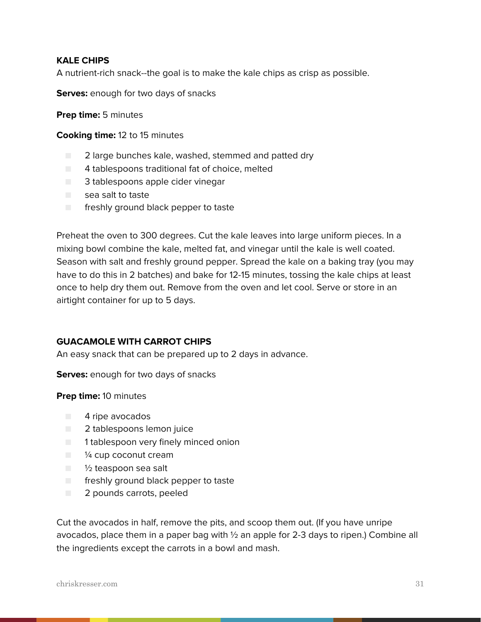#### **KALE CHIPS**

A nutrient-rich snack--the goal is to make the kale chips as crisp as possible.

**Serves:** enough for two days of snacks

**Prep time:** 5 minutes

#### **Cooking time:** 12 to 15 minutes

- 2 large bunches kale, washed, stemmed and patted dry
- 4 tablespoons traditional fat of choice, melted
- 3 tablespoons apple cider vinegar
- sea salt to taste
- freshly ground black pepper to taste

Preheat the oven to 300 degrees. Cut the kale leaves into large uniform pieces. In a mixing bowl combine the kale, melted fat, and vinegar until the kale is well coated. Season with salt and freshly ground pepper. Spread the kale on a baking tray (you may have to do this in 2 batches) and bake for 12-15 minutes, tossing the kale chips at least once to help dry them out. Remove from the oven and let cool. Serve or store in an airtight container for up to 5 days.

#### **GUACAMOLE WITH CARROT CHIPS**

An easy snack that can be prepared up to 2 days in advance.

**Serves:** enough for two days of snacks

**Prep time:** 10 minutes

- 4 ripe avocados
- 2 tablespoons lemon juice
- 1 tablespoon very finely minced onion
- $\blacksquare$   $\frac{1}{4}$  cup coconut cream
- 1/2 teaspoon sea salt
- freshly ground black pepper to taste
- 2 pounds carrots, peeled

Cut the avocados in half, remove the pits, and scoop them out. (If you have unripe avocados, place them in a paper bag with  $\frac{1}{2}$  an apple for 2-3 days to ripen.) Combine all the ingredients except the carrots in a bowl and mash.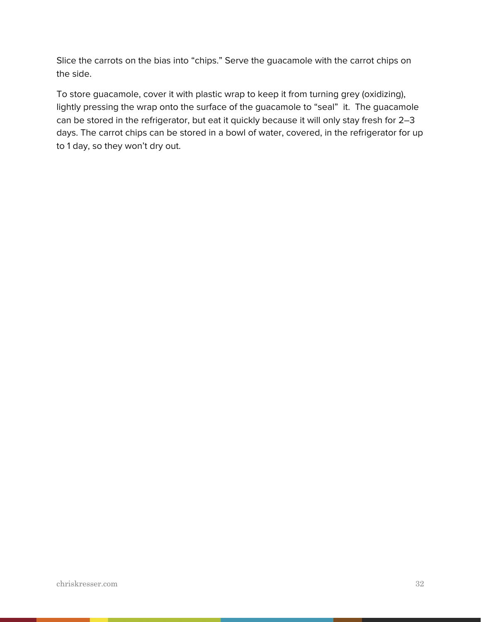Slice the carrots on the bias into "chips." Serve the guacamole with the carrot chips on the side.

To store guacamole, cover it with plastic wrap to keep it from turning grey (oxidizing), lightly pressing the wrap onto the surface of the guacamole to "seal" it. The guacamole can be stored in the refrigerator, but eat it quickly because it will only stay fresh for 2–3 days. The carrot chips can be stored in a bowl of water, covered, in the refrigerator for up to 1 day, so they won't dry out.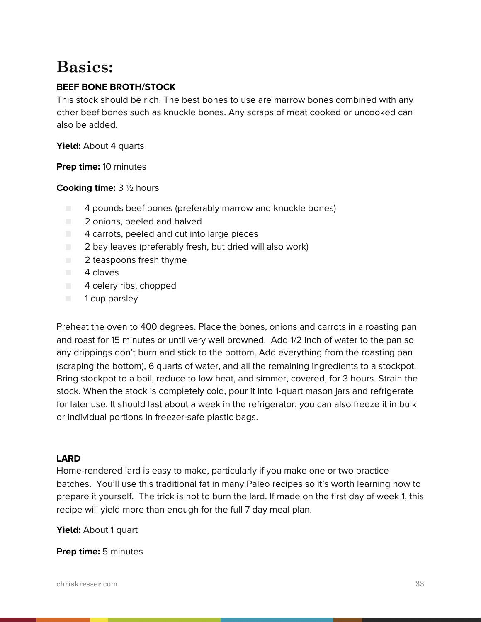### **Basics:**

#### **BEEF BONE BROTH/STOCK**

This stock should be rich. The best bones to use are marrow bones combined with any other beef bones such as knuckle bones. Any scraps of meat cooked or uncooked can also be added.

**Yield:** About 4 quarts

**Prep time:** 10 minutes

**Cooking time:** 3 ½ hours

- 4 pounds beef bones (preferably marrow and knuckle bones)
- 2 onions, peeled and halved
- $\Box$  4 carrots, peeled and cut into large pieces
- 2 bay leaves (preferably fresh, but dried will also work)
- 2 teaspoons fresh thyme
- 4 cloves
- 4 celery ribs, chopped
- 1 cup parsley

Preheat the oven to 400 degrees. Place the bones, onions and carrots in a roasting pan and roast for 15 minutes or until very well browned. Add 1/2 inch of water to the pan so any drippings don't burn and stick to the bottom. Add everything from the roasting pan (scraping the bottom), 6 quarts of water, and all the remaining ingredients to a stockpot. Bring stockpot to a boil, reduce to low heat, and simmer, covered, for 3 hours. Strain the stock. When the stock is completely cold, pour it into 1-quart mason jars and refrigerate for later use. It should last about a week in the refrigerator; you can also freeze it in bulk or individual portions in freezer-safe plastic bags.

#### **LARD**

Home-rendered lard is easy to make, particularly if you make one or two practice batches. You'll use this traditional fat in many Paleo recipes so it's worth learning how to prepare it yourself. The trick is not to burn the lard. If made on the first day of week 1, this recipe will yield more than enough for the full 7 day meal plan.

#### **Yield:** About 1 quart

**Prep time:** 5 minutes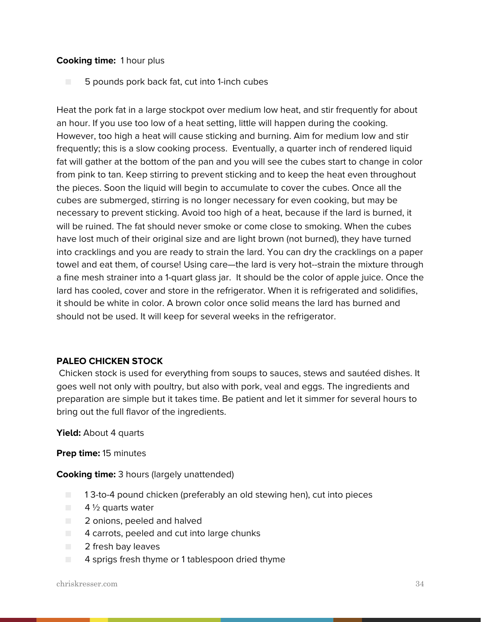#### **Cooking time:** 1 hour plus

■ 5 pounds pork back fat, cut into 1-inch cubes

Heat the pork fat in a large stockpot over medium low heat, and stir frequently for about an hour. If you use too low of a heat setting, little will happen during the cooking. However, too high a heat will cause sticking and burning. Aim for medium low and stir frequently; this is a slow cooking process. Eventually, a quarter inch of rendered liquid fat will gather at the bottom of the pan and you will see the cubes start to change in color from pink to tan. Keep stirring to prevent sticking and to keep the heat even throughout the pieces. Soon the liquid will begin to accumulate to cover the cubes. Once all the cubes are submerged, stirring is no longer necessary for even cooking, but may be necessary to prevent sticking. Avoid too high of a heat, because if the lard is burned, it will be ruined. The fat should never smoke or come close to smoking. When the cubes have lost much of their original size and are light brown (not burned), they have turned into cracklings and you are ready to strain the lard. You can dry the cracklings on a paper towel and eat them, of course! Using care—the lard is very hot--strain the mixture through a fine mesh strainer into a 1-quart glass jar. It should be the color of apple juice. Once the lard has cooled, cover and store in the refrigerator. When it is refrigerated and solidifies, it should be white in color. A brown color once solid means the lard has burned and should not be used. It will keep for several weeks in the refrigerator.

#### **PALEO CHICKEN STOCK**

 Chicken stock is used for everything from soups to sauces, stews and sautéed dishes. It goes well not only with poultry, but also with pork, veal and eggs. The ingredients and preparation are simple but it takes time. Be patient and let it simmer for several hours to bring out the full flavor of the ingredients.

**Yield:** About 4 quarts

**Prep time:** 15 minutes

**Cooking time:** 3 hours (largely unattended)

- 1 3-to-4 pound chicken (preferably an old stewing hen), cut into pieces
- $\Box$  4  $\frac{1}{2}$  quarts water
- 2 onions, peeled and halved
- $\Box$  4 carrots, peeled and cut into large chunks
- 2 fresh bay leaves
- 4 sprigs fresh thyme or 1 tablespoon dried thyme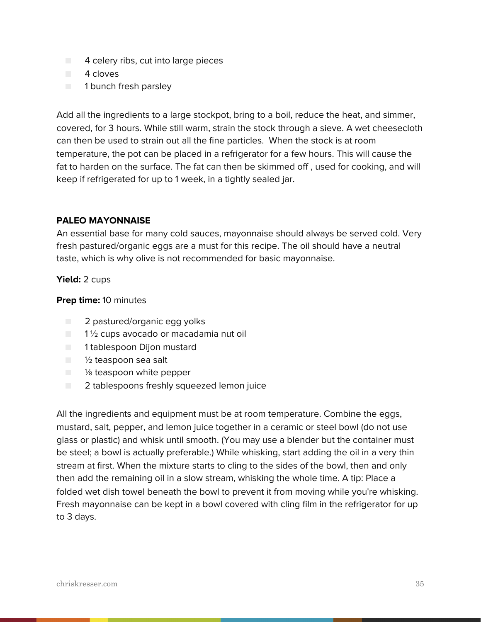- 4 celery ribs, cut into large pieces
- 4 cloves
- 1 bunch fresh parsley

Add all the ingredients to a large stockpot, bring to a boil, reduce the heat, and simmer, covered, for 3 hours. While still warm, strain the stock through a sieve. A wet cheesecloth can then be used to strain out all the fine particles. When the stock is at room temperature, the pot can be placed in a refrigerator for a few hours. This will cause the fat to harden on the surface. The fat can then be skimmed off , used for cooking, and will keep if refrigerated for up to 1 week, in a tightly sealed jar.

#### **PALEO MAYONNAISE**

An essential base for many cold sauces, mayonnaise should always be served cold. Very fresh pastured/organic eggs are a must for this recipe. The oil should have a neutral taste, which is why olive is not recommended for basic mayonnaise.

#### **Yield:** 2 cups

#### **Prep time:** 10 minutes

- 2 pastured/organic egg yolks
- $\Box$  1  $\frac{1}{2}$  cups avocado or macadamia nut oil
- 1 tablespoon Dijon mustard
- 1/2 teaspoon sea salt
- <sup>1</sup>/<sub>8</sub> teaspoon white pepper
- 2 tablespoons freshly squeezed lemon juice

All the ingredients and equipment must be at room temperature. Combine the eggs, mustard, salt, pepper, and lemon juice together in a ceramic or steel bowl (do not use glass or plastic) and whisk until smooth. (You may use a blender but the container must be steel; a bowl is actually preferable.) While whisking, start adding the oil in a very thin stream at first. When the mixture starts to cling to the sides of the bowl, then and only then add the remaining oil in a slow stream, whisking the whole time. A tip: Place a folded wet dish towel beneath the bowl to prevent it from moving while you're whisking. Fresh mayonnaise can be kept in a bowl covered with cling film in the refrigerator for up to 3 days.